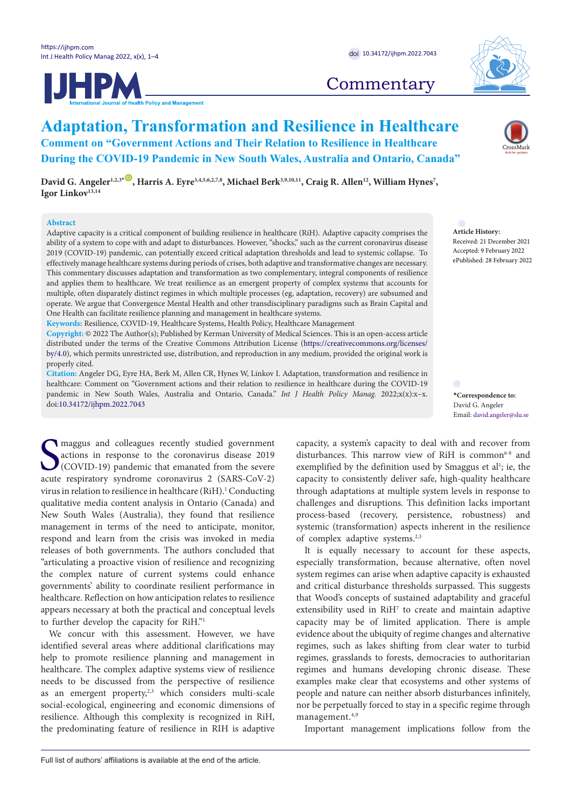**JHPM** 



# **Commentary**

## **Adaptation, Transformation and Resilience in Healthcare Comment on "Government Actions and Their Relation to Resilience in Healthcare During the COVID-19 Pandemic in New South Wales, Australia and Ontario, Canada"**

David G. Angeler<sup>1,2,3[\\*](#page-0-0)</sup> , Harris A. Eyre<sup>3,4,5,6,2,7,8</sup>, Michael Berk<sup>3,9,10,11</sup>, Craig R. Allen<sup>12</sup>, William Hynes<sup>7</sup>, **Igor Linkov13,14**

#### **Abstract**

Adaptive capacity is a critical component of building resilience in healthcare (RiH). Adaptive capacity comprises the ability of a system to cope with and adapt to disturbances. However, "shocks," such as the current coronavirus disease 2019 (COVID-19) pandemic, can potentially exceed critical adaptation thresholds and lead to systemic collapse. To effectively manage healthcare systems during periods of crises, both adaptive and transformative changes are necessary. This commentary discusses adaptation and transformation as two complementary, integral components of resilience and applies them to healthcare. We treat resilience as an emergent property of complex systems that accounts for multiple, often disparately distinct regimes in which multiple processes (eg, adaptation, recovery) are subsumed and operate. We argue that Convergence Mental Health and other transdisciplinary paradigms such as Brain Capital and One Health can facilitate resilience planning and management in healthcare systems.

**Keywords:** Resilience, COVID-19, Healthcare Systems, Health Policy, Healthcare Management

**Copyright:** © 2022 The Author(s); Published by Kerman University of Medical Sciences. This is an open-access article distributed under the terms of the Creative Commons Attribution License ([https://creativecommons.org/licenses/](https://creativecommons.org/licenses/by/4.0/) [by/4.0\)](https://creativecommons.org/licenses/by/4.0/), which permits unrestricted use, distribution, and reproduction in any medium, provided the original work is properly cited.

**Citation:** Angeler DG, Eyre HA, Berk M, Allen CR, Hynes W, Linkov I. Adaptation, transformation and resilience in healthcare: Comment on "Government actions and their relation to resilience in healthcare during the COVID-19 pandemic in New South Wales, Australia and Ontario, Canada." *Int J Health Policy Manag.* 2022;x(x):x–x. doi[:10.34172/ijhpm.2022.7043](https://doi.org/10.34172/ijhpm.2022.7043)

Imaggus and colleagues recently studied government<br>actions in response to the coronavirus disease 2019<br>(COVID-19) pandemic that emanated from the severe<br>acute respiratory syndrome coronavirus 2 (SARS-CoV-2) maggus and colleagues recently studied government actions in response to the coronavirus disease 2019 (COVID-19) pandemic that emanated from the severe virus in relation to resilience in healthcare (RiH).<sup>1</sup> Conducting qualitative media content analysis in Ontario (Canada) and New South Wales (Australia), they found that resilience management in terms of the need to anticipate, monitor, respond and learn from the crisis was invoked in media releases of both governments. The authors concluded that "articulating a proactive vision of resilience and recognizing the complex nature of current systems could enhance governments' ability to coordinate resilient performance in healthcare. Reflection on how anticipation relates to resilience appears necessary at both the practical and conceptual levels to further develop the capacity for RiH."1

We concur with this assessment. However, we have identified several areas where additional clarifications may help to promote resilience planning and management in healthcare. The complex adaptive systems view of resilience needs to be discussed from the perspective of resilience as an emergent property,<sup>2,3</sup> which considers multi-scale social-ecological, engineering and economic dimensions of resilience. Although this complexity is recognized in RiH, the predominating feature of resilience in RIH is adaptive capacity, a system's capacity to deal with and recover from disturbances. This narrow view of RiH is common<sup>6-8</sup> and exemplified by the definition used by Smaggus et al<sup>1</sup>; ie, the capacity to consistently deliver safe, high-quality healthcare through adaptations at multiple system levels in response to challenges and disruptions. This definition lacks important process-based (recovery, persistence, robustness) and systemic (transformation) aspects inherent in the resilience of complex adaptive systems.2,3

It is equally necessary to account for these aspects, especially transformation, because alternative, often novel system regimes can arise when adaptive capacity is exhausted and critical disturbance thresholds surpassed. This suggests that Wood's concepts of sustained adaptability and graceful extensibility used in  $RiH<sup>7</sup>$  to create and maintain adaptive capacity may be of limited application. There is ample evidence about the ubiquity of regime changes and alternative regimes, such as lakes shifting from clear water to turbid regimes, grasslands to forests, democracies to authoritarian regimes and humans developing chronic disease. These examples make clear that ecosystems and other systems of people and nature can neither absorb disturbances infinitely, nor be perpetually forced to stay in a specific regime through management.4,9

Important management implications follow from the

**Article History:** Received: 21 December 2021 Accepted: 9 February 2022 ePublished: 28 February 2022

<span id="page-0-0"></span>**\*Correspondence to:** David G. Angeler Email: david.angeler@slu.se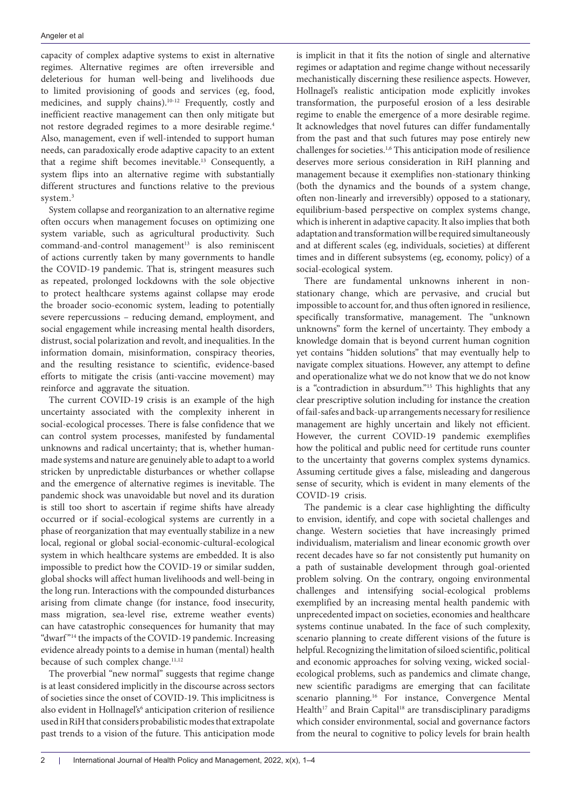capacity of complex adaptive systems to exist in alternative regimes. Alternative regimes are often irreversible and deleterious for human well-being and livelihoods due to limited provisioning of goods and services (eg, food, medicines, and supply chains).10-12 Frequently, costly and inefficient reactive management can then only mitigate but not restore degraded regimes to a more desirable regime.4 Also, management, even if well-intended to support human needs, can paradoxically erode adaptive capacity to an extent that a regime shift becomes inevitable.<sup>13</sup> Consequently, a system flips into an alternative regime with substantially different structures and functions relative to the previous system.3

System collapse and reorganization to an alternative regime often occurs when management focuses on optimizing one system variable, such as agricultural productivity. Such  $command-and-control management<sup>13</sup> is also reminiscent$ of actions currently taken by many governments to handle the COVID-19 pandemic. That is, stringent measures such as repeated, prolonged lockdowns with the sole objective to protect healthcare systems against collapse may erode the broader socio-economic system, leading to potentially severe repercussions – reducing demand, employment, and social engagement while increasing mental health disorders, distrust, social polarization and revolt, and inequalities. In the information domain, misinformation, conspiracy theories, and the resulting resistance to scientific, evidence-based efforts to mitigate the crisis (anti-vaccine movement) may reinforce and aggravate the situation.

The current COVID-19 crisis is an example of the high uncertainty associated with the complexity inherent in social-ecological processes. There is false confidence that we can control system processes, manifested by fundamental unknowns and radical uncertainty; that is, whether humanmade systems and nature are genuinely able to adapt to a world stricken by unpredictable disturbances or whether collapse and the emergence of alternative regimes is inevitable. The pandemic shock was unavoidable but novel and its duration is still too short to ascertain if regime shifts have already occurred or if social-ecological systems are currently in a phase of reorganization that may eventually stabilize in a new local, regional or global social-economic-cultural-ecological system in which healthcare systems are embedded. It is also impossible to predict how the COVID-19 or similar sudden, global shocks will affect human livelihoods and well-being in the long run. Interactions with the compounded disturbances arising from climate change (for instance, food insecurity, mass migration, sea-level rise, extreme weather events) can have catastrophic consequences for humanity that may "dwarf "14 the impacts of the COVID-19 pandemic. Increasing evidence already points to a demise in human (mental) health because of such complex change.<sup>11,12</sup>

The proverbial "new normal" suggests that regime change is at least considered implicitly in the discourse across sectors of societies since the onset of COVID-19. This implicitness is also evident in Hollnagel's<sup>6</sup> anticipation criterion of resilience used in RiH that considers probabilistic modes that extrapolate past trends to a vision of the future. This anticipation mode

is implicit in that it fits the notion of single and alternative regimes or adaptation and regime change without necessarily mechanistically discerning these resilience aspects. However, Hollnagel's realistic anticipation mode explicitly invokes transformation, the purposeful erosion of a less desirable regime to enable the emergence of a more desirable regime. It acknowledges that novel futures can differ fundamentally from the past and that such futures may pose entirely new challenges for societies.1,6 This anticipation mode of resilience deserves more serious consideration in RiH planning and management because it exemplifies non-stationary thinking (both the dynamics and the bounds of a system change, often non-linearly and irreversibly) opposed to a stationary, equilibrium-based perspective on complex systems change, which is inherent in adaptive capacity. It also implies that both adaptation and transformation will be required simultaneously and at different scales (eg, individuals, societies) at different times and in different subsystems (eg, economy, policy) of a social-ecological system.

There are fundamental unknowns inherent in nonstationary change, which are pervasive, and crucial but impossible to account for, and thus often ignored in resilience, specifically transformative, management. The "unknown unknowns" form the kernel of uncertainty. They embody a knowledge domain that is beyond current human cognition yet contains "hidden solutions" that may eventually help to navigate complex situations. However, any attempt to define and operationalize what we do not know that we do not know is a "contradiction in absurdum."<sup>15</sup> This highlights that any clear prescriptive solution including for instance the creation of fail-safes and back-up arrangements necessary for resilience management are highly uncertain and likely not efficient. However, the current COVID-19 pandemic exemplifies how the political and public need for certitude runs counter to the uncertainty that governs complex systems dynamics. Assuming certitude gives a false, misleading and dangerous sense of security, which is evident in many elements of the COVID-19 crisis.

The pandemic is a clear case highlighting the difficulty to envision, identify, and cope with societal challenges and change. Western societies that have increasingly primed individualism, materialism and linear economic growth over recent decades have so far not consistently put humanity on a path of sustainable development through goal-oriented problem solving. On the contrary, ongoing environmental challenges and intensifying social-ecological problems exemplified by an increasing mental health pandemic with unprecedented impact on societies, economies and healthcare systems continue unabated. In the face of such complexity, scenario planning to create different visions of the future is helpful. Recognizing the limitation of siloed scientific, political and economic approaches for solving vexing, wicked socialecological problems, such as pandemics and climate change, new scientific paradigms are emerging that can facilitate scenario planning.<sup>16</sup> For instance, Convergence Mental Health<sup>17</sup> and Brain Capital<sup>18</sup> are transdisciplinary paradigms which consider environmental, social and governance factors from the neural to cognitive to policy levels for brain health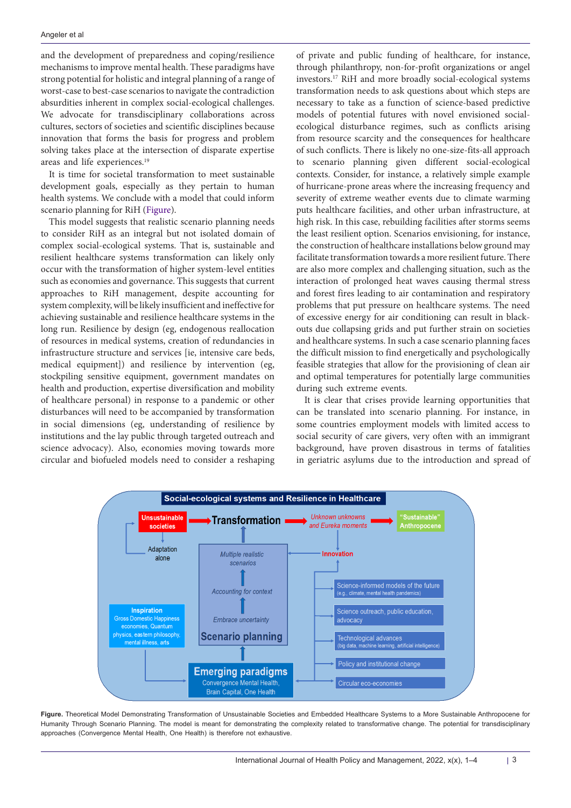and the development of preparedness and coping/resilience mechanisms to improve mental health. These paradigms have strong potential for holistic and integral planning of a range of worst-case to best-case scenarios to navigate the contradiction absurdities inherent in complex social-ecological challenges. We advocate for transdisciplinary collaborations across cultures, sectors of societies and scientific disciplines because innovation that forms the basis for progress and problem solving takes place at the intersection of disparate expertise areas and life experiences.<sup>19</sup>

It is time for societal transformation to meet sustainable development goals, especially as they pertain to human health systems. We conclude with a model that could inform scenario planning for RiH [\(Figure](#page-2-0)).

This model suggests that realistic scenario planning needs to consider RiH as an integral but not isolated domain of complex social-ecological systems. That is, sustainable and resilient healthcare systems transformation can likely only occur with the transformation of higher system-level entities such as economies and governance. This suggests that current approaches to RiH management, despite accounting for system complexity, will be likely insufficient and ineffective for achieving sustainable and resilience healthcare systems in the long run. Resilience by design (eg, endogenous reallocation of resources in medical systems, creation of redundancies in infrastructure structure and services [ie, intensive care beds, medical equipment]) and resilience by intervention (eg, stockpiling sensitive equipment, government mandates on health and production, expertise diversification and mobility of healthcare personal) in response to a pandemic or other disturbances will need to be accompanied by transformation in social dimensions (eg, understanding of resilience by institutions and the lay public through targeted outreach and science advocacy). Also, economies moving towards more circular and biofueled models need to consider a reshaping of private and public funding of healthcare, for instance, through philanthropy, non-for-profit organizations or angel investors.17 RiH and more broadly social-ecological systems transformation needs to ask questions about which steps are necessary to take as a function of science-based predictive models of potential futures with novel envisioned socialecological disturbance regimes, such as conflicts arising from resource scarcity and the consequences for healthcare of such conflicts. There is likely no one-size-fits-all approach to scenario planning given different social-ecological contexts. Consider, for instance, a relatively simple example of hurricane-prone areas where the increasing frequency and severity of extreme weather events due to climate warming puts healthcare facilities, and other urban infrastructure, at high risk. In this case, rebuilding facilities after storms seems the least resilient option. Scenarios envisioning, for instance, the construction of healthcare installations below ground may facilitate transformation towards a more resilient future. There are also more complex and challenging situation, such as the interaction of prolonged heat waves causing thermal stress and forest fires leading to air contamination and respiratory problems that put pressure on healthcare systems. The need of excessive energy for air conditioning can result in blackouts due collapsing grids and put further strain on societies and healthcare systems. In such a case scenario planning faces the difficult mission to find energetically and psychologically feasible strategies that allow for the provisioning of clean air and optimal temperatures for potentially large communities during such extreme events.

<span id="page-2-0"></span>It is clear that crises provide learning opportunities that can be translated into scenario planning. For instance, in some countries employment models with limited access to social security of care givers, very often with an immigrant background, have proven disastrous in terms of fatalities in geriatric asylums due to the introduction and spread of



**Figure.** Theoretical Model Demonstrating Transformation of Unsustainable Societies and Embedded Healthcare Systems to a More Sustainable Anthropocene for Humanity Through Scenario Planning. The model is meant for demonstrating the complexity related to transformative change. The potential for transdisciplinary approaches (Convergence Mental Health, One Health) is therefore not exhaustive.